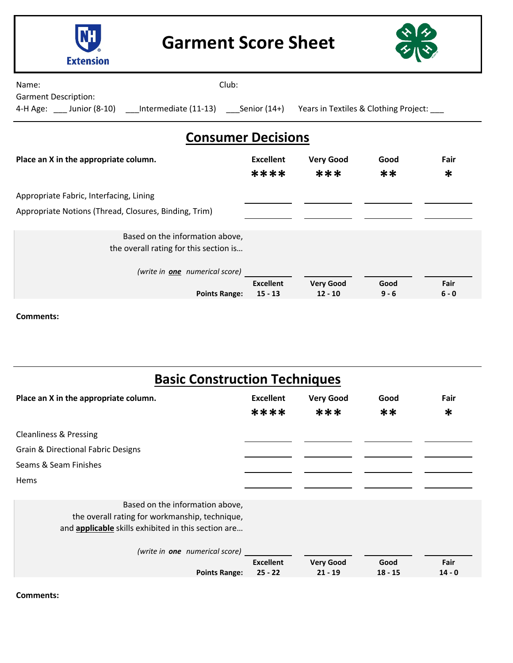

**Garment Score Sheet**



Name: **Name: Name: Name: Name: Name: Name: Club: Club: Club: Club: Club: Club: Club: Club: Club: Club: Club: Club: Club: Club: Club: Club: Club: Club: Club: Club: Club:**

Garment Description:

4-H Age: \_\_\_ Junior (8-10) \_\_\_Intermediate (11-13) \_\_\_Senior (14+) Years in Textiles & Clothing Project: \_\_\_

## **Consumer Decisions**

| Place an X in the appropriate column.                                     | <b>Excellent</b><br>****      | <b>Very Good</b><br>***       | Good<br>$**$    | Fair<br>$\ast$  |
|---------------------------------------------------------------------------|-------------------------------|-------------------------------|-----------------|-----------------|
| Appropriate Fabric, Interfacing, Lining                                   |                               |                               |                 |                 |
| Appropriate Notions (Thread, Closures, Binding, Trim)                     |                               |                               |                 |                 |
| Based on the information above,<br>the overall rating for this section is |                               |                               |                 |                 |
| (write in <b>one</b> numerical score)                                     |                               |                               |                 |                 |
| <b>Points Range:</b>                                                      | <b>Excellent</b><br>$15 - 13$ | <b>Very Good</b><br>$12 - 10$ | Good<br>$9 - 6$ | Fair<br>$6 - 0$ |

**Comments:**

| <b>Basic Construction Techniques</b>                                                                                                     |                          |                         |              |                |
|------------------------------------------------------------------------------------------------------------------------------------------|--------------------------|-------------------------|--------------|----------------|
| Place an X in the appropriate column.                                                                                                    | <b>Excellent</b><br>**** | <b>Very Good</b><br>*** | Good<br>$**$ | Fair<br>$\ast$ |
| <b>Cleanliness &amp; Pressing</b>                                                                                                        |                          |                         |              |                |
| Grain & Directional Fabric Designs                                                                                                       |                          |                         |              |                |
| Seams & Seam Finishes                                                                                                                    |                          |                         |              |                |
| Hems                                                                                                                                     |                          |                         |              |                |
| Based on the information above,<br>the overall rating for workmanship, technique,<br>and applicable skills exhibited in this section are |                          |                         |              |                |
| (write in one numerical score)                                                                                                           | <b>Excellent</b>         | <b>Very Good</b>        | Good         | Fair           |
| <b>Points Range:</b>                                                                                                                     | $25 - 22$                | $21 - 19$               | $18 - 15$    | $14 - 0$       |

**Comments:**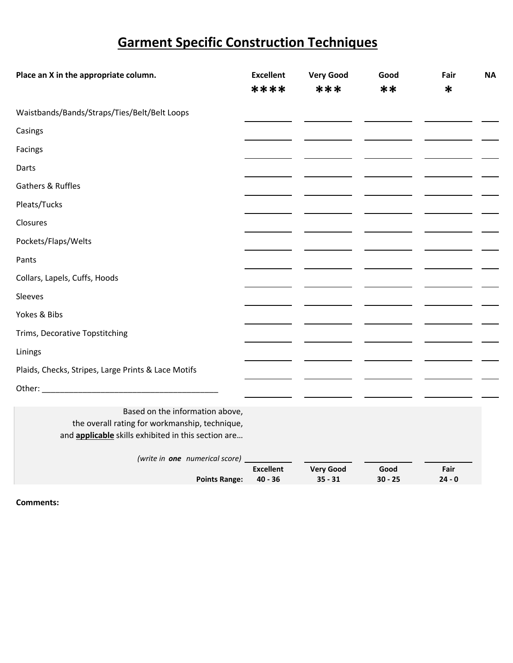## **Garment Specific Construction Techniques**

| Place an X in the appropriate column.                      | <b>Excellent</b>              | <b>Very Good</b>              | Good              | Fair             | <b>NA</b> |
|------------------------------------------------------------|-------------------------------|-------------------------------|-------------------|------------------|-----------|
|                                                            | ****                          | ***                           | **                | $\ast$           |           |
| Waistbands/Bands/Straps/Ties/Belt/Belt Loops               |                               |                               |                   |                  |           |
| Casings                                                    |                               |                               |                   |                  |           |
| Facings                                                    |                               |                               |                   |                  |           |
| Darts                                                      |                               |                               |                   |                  |           |
| Gathers & Ruffles                                          |                               |                               |                   |                  |           |
| Pleats/Tucks                                               |                               |                               |                   |                  |           |
| Closures                                                   |                               |                               |                   |                  |           |
| Pockets/Flaps/Welts                                        |                               |                               |                   |                  |           |
| Pants                                                      |                               |                               |                   |                  |           |
| Collars, Lapels, Cuffs, Hoods                              |                               |                               |                   |                  |           |
| Sleeves                                                    |                               |                               |                   |                  |           |
| Yokes & Bibs                                               |                               |                               |                   |                  |           |
| Trims, Decorative Topstitching                             |                               |                               |                   |                  |           |
| Linings                                                    |                               |                               |                   |                  |           |
| Plaids, Checks, Stripes, Large Prints & Lace Motifs        |                               |                               |                   |                  |           |
| Other:<br><u> 1980 - Jan Barbarat, martin a</u>            |                               |                               |                   |                  |           |
| Based on the information above,                            |                               |                               |                   |                  |           |
| the overall rating for workmanship, technique,             |                               |                               |                   |                  |           |
| and <b>applicable</b> skills exhibited in this section are |                               |                               |                   |                  |           |
| (write in one numerical score)                             |                               |                               |                   |                  |           |
| <b>Points Range:</b>                                       | <b>Excellent</b><br>$40 - 36$ | <b>Very Good</b><br>$35 - 31$ | Good<br>$30 - 25$ | Fair<br>$24 - 0$ |           |

**Points Range: 40 - 36** 

**Comments:**